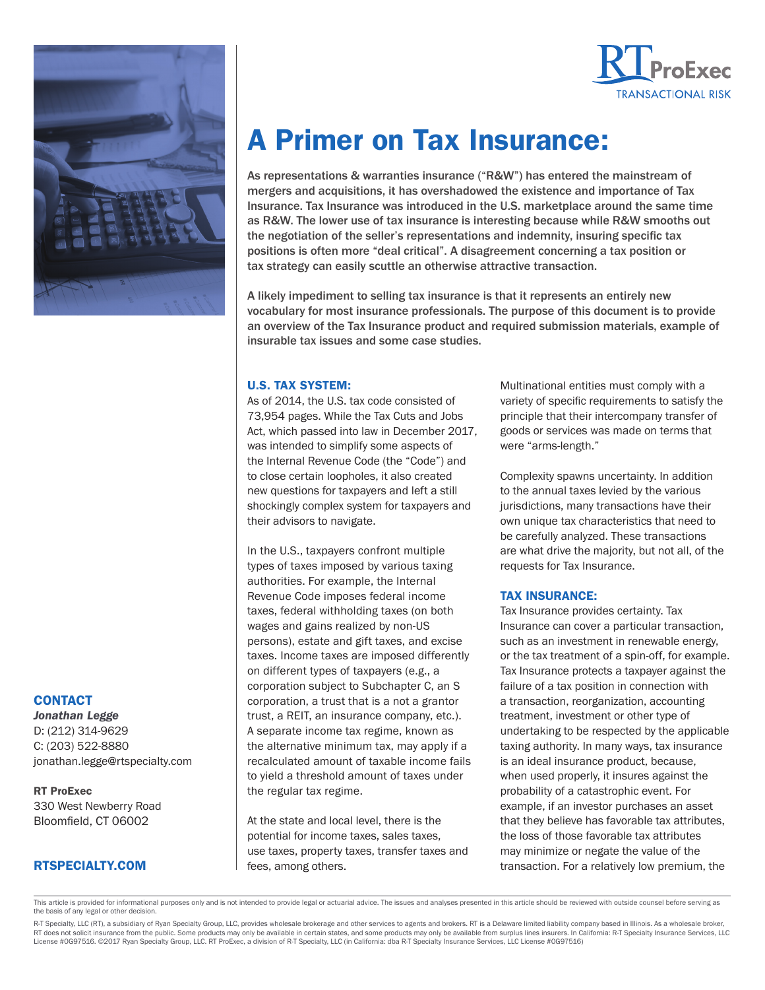



# A Primer on Tax Insurance:

As representations & warranties insurance ("R&W") has entered the mainstream of mergers and acquisitions, it has overshadowed the existence and importance of Tax Insurance. Tax Insurance was introduced in the U.S. marketplace around the same time as R&W. The lower use of tax insurance is interesting because while R&W smooths out the negotiation of the seller's representations and indemnity, insuring specific tax positions is often more "deal critical". A disagreement concerning a tax position or tax strategy can easily scuttle an otherwise attractive transaction.

A likely impediment to selling tax insurance is that it represents an entirely new vocabulary for most insurance professionals. The purpose of this document is to provide an overview of the Tax Insurance product and required submission materials, example of insurable tax issues and some case studies.

#### U.S. TAX SYSTEM:

As of 2014, the U.S. tax code consisted of 73,954 pages. While the Tax Cuts and Jobs Act, which passed into law in December 2017, was intended to simplify some aspects of the Internal Revenue Code (the "Code") and to close certain loopholes, it also created new questions for taxpayers and left a still shockingly complex system for taxpayers and their advisors to navigate.

In the U.S., taxpayers confront multiple types of taxes imposed by various taxing authorities. For example, the Internal Revenue Code imposes federal income taxes, federal withholding taxes (on both wages and gains realized by non-US persons), estate and gift taxes, and excise taxes. Income taxes are imposed differently on different types of taxpayers (e.g., a corporation subject to Subchapter C, an S corporation, a trust that is a not a grantor trust, a REIT, an insurance company, etc.). A separate income tax regime, known as the alternative minimum tax, may apply if a recalculated amount of taxable income fails to yield a threshold amount of taxes under the regular tax regime.

At the state and local level, there is the potential for income taxes, sales taxes, use taxes, property taxes, transfer taxes and fees, among others.

Multinational entities must comply with a variety of specific requirements to satisfy the principle that their intercompany transfer of goods or services was made on terms that were "arms-length."

Complexity spawns uncertainty. In addition to the annual taxes levied by the various jurisdictions, many transactions have their own unique tax characteristics that need to be carefully analyzed. These transactions are what drive the majority, but not all, of the requests for Tax Insurance.

#### TAX INSURANCE:

Tax Insurance provides certainty. Tax Insurance can cover a particular transaction, such as an investment in renewable energy, or the tax treatment of a spin-off, for example. Tax Insurance protects a taxpayer against the failure of a tax position in connection with a transaction, reorganization, accounting treatment, investment or other type of undertaking to be respected by the applicable taxing authority. In many ways, tax insurance is an ideal insurance product, because, when used properly, it insures against the probability of a catastrophic event. For example, if an investor purchases an asset that they believe has favorable tax attributes, the loss of those favorable tax attributes may minimize or negate the value of the transaction. For a relatively low premium, the

#### This article is provided for informational purposes only and is not intended to provide legal or actuarial advice. The issues and analyses presented in this article should be reviewed with outside counsel before serving as the basis of any legal or other decision.

#### **CONTACT**

*Jonathan Legge* D: (212) 314-9629 C: (203) 522-8880 jonathan.legge@rtspecialty.com

RT ProExec 330 West Newberry Road Bloomfield, CT 06002

## RTSPECIALTY.COM

R-T Specialty, LLC (RT), a subsidiary of Ryan Specialty Group, LLC, provides wholesale brokerage and other services to agents and brokers. RT is a Delaware limited liability company based in Illinois. As a wholesale broker RT does not solicit insurance from the public. Some products may only be available in certain states, and some products may only be available from surplus lines insurers. In California: R-T Specialty Insurance Services, LL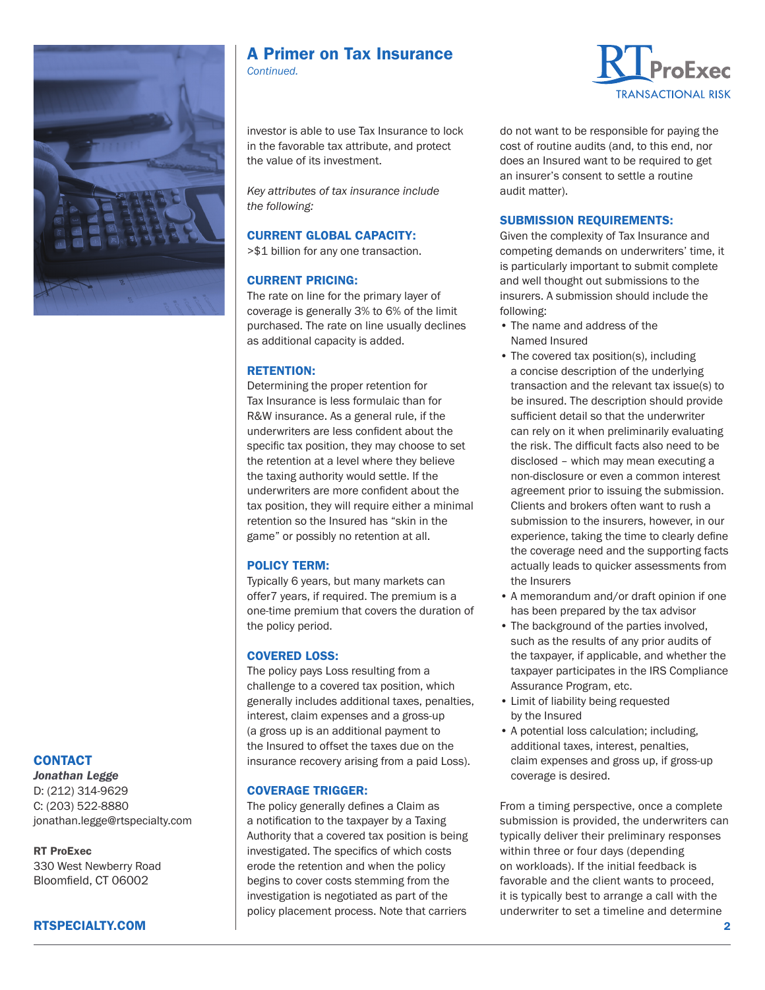

## A Primer on Tax Insurance

*Continued.*

investor is able to use Tax Insurance to lock in the favorable tax attribute, and protect the value of its investment.

*Key attributes of tax insurance include the following:* 

## CURRENT GLOBAL CAPACITY:

>\$1 billion for any one transaction.

## CURRENT PRICING:

The rate on line for the primary layer of coverage is generally 3% to 6% of the limit purchased. The rate on line usually declines as additional capacity is added.

## RETENTION:

Determining the proper retention for Tax Insurance is less formulaic than for R&W insurance. As a general rule, if the underwriters are less confident about the specific tax position, they may choose to set the retention at a level where they believe the taxing authority would settle. If the underwriters are more confident about the tax position, they will require either a minimal retention so the Insured has "skin in the game" or possibly no retention at all.

## POLICY TERM:

Typically 6 years, but many markets can offer7 years, if required. The premium is a one-time premium that covers the duration of the policy period.

## COVERED LOSS:

The policy pays Loss resulting from a challenge to a covered tax position, which generally includes additional taxes, penalties, interest, claim expenses and a gross-up (a gross up is an additional payment to the Insured to offset the taxes due on the insurance recovery arising from a paid Loss).

#### COVERAGE TRIGGER:

The policy generally defines a Claim as a notification to the taxpayer by a Taxing Authority that a covered tax position is being investigated. The specifics of which costs erode the retention and when the policy begins to cover costs stemming from the investigation is negotiated as part of the policy placement process. Note that carriers



do not want to be responsible for paying the cost of routine audits (and, to this end, nor does an Insured want to be required to get an insurer's consent to settle a routine audit matter).

### SUBMISSION REQUIREMENTS:

Given the complexity of Tax Insurance and competing demands on underwriters' time, it is particularly important to submit complete and well thought out submissions to the insurers. A submission should include the following:

- The name and address of the Named Insured
- The covered tax position(s), including a concise description of the underlying transaction and the relevant tax issue(s) to be insured. The description should provide sufficient detail so that the underwriter can rely on it when preliminarily evaluating the risk. The difficult facts also need to be disclosed – which may mean executing a non-disclosure or even a common interest agreement prior to issuing the submission. Clients and brokers often want to rush a submission to the insurers, however, in our experience, taking the time to clearly define the coverage need and the supporting facts actually leads to quicker assessments from the Insurers
- A memorandum and/or draft opinion if one has been prepared by the tax advisor
- The background of the parties involved, such as the results of any prior audits of the taxpayer, if applicable, and whether the taxpayer participates in the IRS Compliance Assurance Program, etc.
- Limit of liability being requested by the Insured
- A potential loss calculation; including, additional taxes, interest, penalties, claim expenses and gross up, if gross-up coverage is desired.

From a timing perspective, once a complete submission is provided, the underwriters can typically deliver their preliminary responses within three or four days (depending on workloads). If the initial feedback is favorable and the client wants to proceed, it is typically best to arrange a call with the underwriter to set a timeline and determine

## **CONTACT**

*Jonathan Legge* D: (212) 314-9629 C: (203) 522-8880 jonathan.legge@rtspecialty.com

#### RT ProExec

330 West Newberry Road Bloomfield, CT 06002

## RTSPECIALTY.COM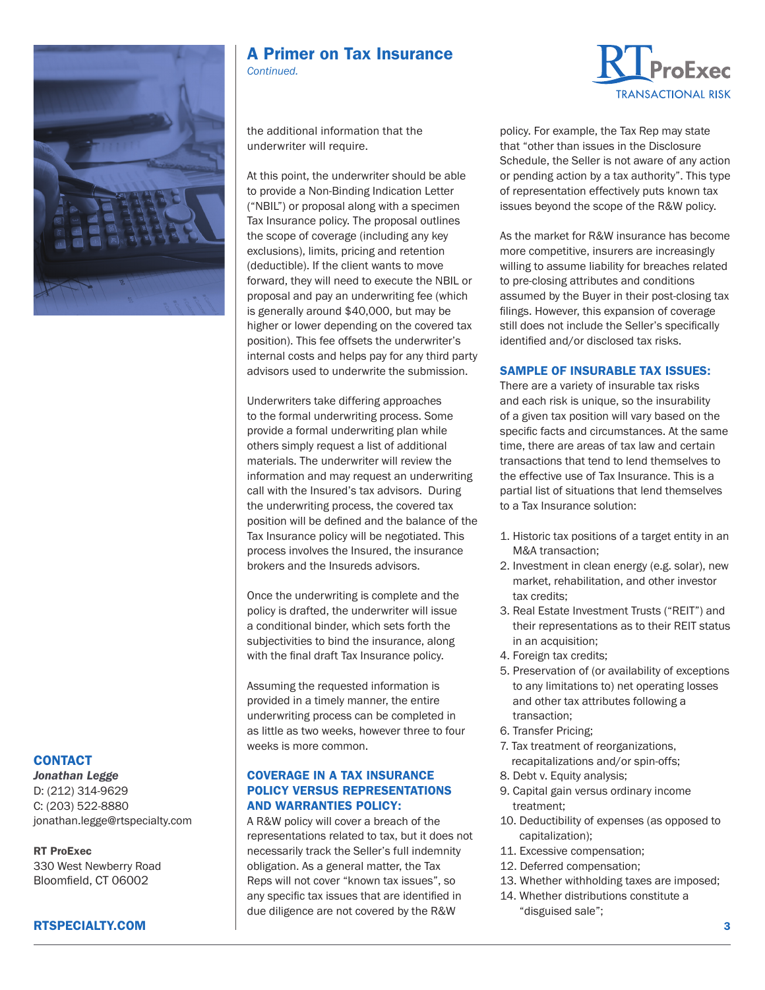

## A Primer on Tax Insurance

*Continued.*

the additional information that the underwriter will require.

At this point, the underwriter should be able to provide a Non-Binding Indication Letter ("NBIL") or proposal along with a specimen Tax Insurance policy. The proposal outlines the scope of coverage (including any key exclusions), limits, pricing and retention (deductible). If the client wants to move forward, they will need to execute the NBIL or proposal and pay an underwriting fee (which is generally around \$40,000, but may be higher or lower depending on the covered tax position). This fee offsets the underwriter's internal costs and helps pay for any third party advisors used to underwrite the submission.

Underwriters take differing approaches to the formal underwriting process. Some provide a formal underwriting plan while others simply request a list of additional materials. The underwriter will review the information and may request an underwriting call with the Insured's tax advisors. During the underwriting process, the covered tax position will be defined and the balance of the Tax Insurance policy will be negotiated. This process involves the Insured, the insurance brokers and the Insureds advisors.

Once the underwriting is complete and the policy is drafted, the underwriter will issue a conditional binder, which sets forth the subjectivities to bind the insurance, along with the final draft Tax Insurance policy.

Assuming the requested information is provided in a timely manner, the entire underwriting process can be completed in as little as two weeks, however three to four weeks is more common.

### COVERAGE IN A TAX INSURANCE POLICY VERSUS REPRESENTATIONS AND WARRANTIES POLICY:

A R&W policy will cover a breach of the representations related to tax, but it does not necessarily track the Seller's full indemnity obligation. As a general matter, the Tax Reps will not cover "known tax issues", so any specific tax issues that are identified in due diligence are not covered by the R&W



policy. For example, the Tax Rep may state that "other than issues in the Disclosure Schedule, the Seller is not aware of any action or pending action by a tax authority". This type of representation effectively puts known tax issues beyond the scope of the R&W policy.

As the market for R&W insurance has become more competitive, insurers are increasingly willing to assume liability for breaches related to pre-closing attributes and conditions assumed by the Buyer in their post-closing tax filings. However, this expansion of coverage still does not include the Seller's specifically identified and/or disclosed tax risks.

## SAMPLE OF INSURABLE TAX ISSUES:

There are a variety of insurable tax risks and each risk is unique, so the insurability of a given tax position will vary based on the specific facts and circumstances. At the same time, there are areas of tax law and certain transactions that tend to lend themselves to the effective use of Tax Insurance. This is a partial list of situations that lend themselves to a Tax Insurance solution:

- 1. Historic tax positions of a target entity in an M&A transaction;
- 2. Investment in clean energy (e.g. solar), new market, rehabilitation, and other investor tax credits;
- 3. Real Estate Investment Trusts ("REIT") and their representations as to their REIT status in an acquisition;
- 4. Foreign tax credits;
- 5. Preservation of (or availability of exceptions to any limitations to) net operating losses and other tax attributes following a transaction;
- 6. Transfer Pricing;
- 7. Tax treatment of reorganizations, recapitalizations and/or spin-offs;
- 8. Debt v. Equity analysis;
- 9. Capital gain versus ordinary income treatment;
- 10. Deductibility of expenses (as opposed to capitalization);
- 11. Excessive compensation;
- 12. Deferred compensation;
- 13. Whether withholding taxes are imposed;
- 14. Whether distributions constitute a "disguised sale";

## **CONTACT**

*Jonathan Legge* D: (212) 314-9629 C: (203) 522-8880 jonathan.legge@rtspecialty.com

RT ProExec 330 West Newberry Road Bloomfield, CT 06002

## RTSPECIALTY.COM